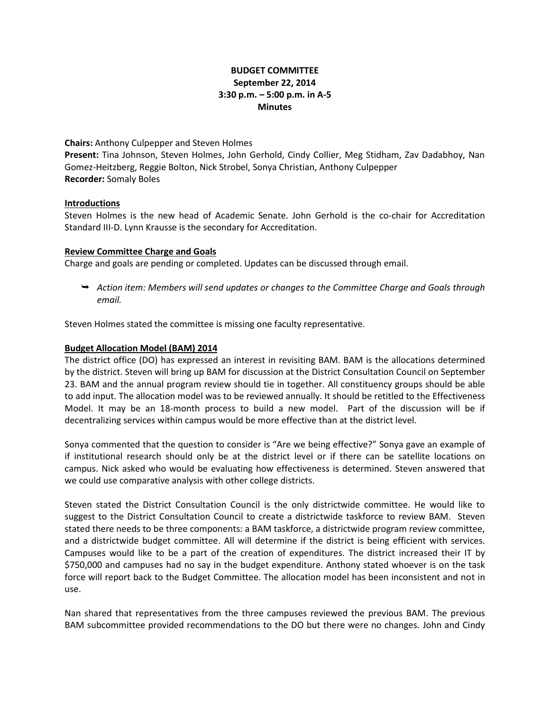# **BUDGET COMMITTEE September 22, 2014 3:30 p.m. – 5:00 p.m. in A-5 Minutes**

**Chairs:** Anthony Culpepper and Steven Holmes

**Present:** Tina Johnson, Steven Holmes, John Gerhold, Cindy Collier, Meg Stidham, Zav Dadabhoy, Nan Gomez-Heitzberg, Reggie Bolton, Nick Strobel, Sonya Christian, Anthony Culpepper **Recorder:** Somaly Boles

## **Introductions**

Steven Holmes is the new head of Academic Senate. John Gerhold is the co-chair for Accreditation Standard III-D. Lynn Krausse is the secondary for Accreditation.

## **Review Committee Charge and Goals**

Charge and goals are pending or completed. Updates can be discussed through email.

 *Action item: Members will send updates or changes to the Committee Charge and Goals through email.* 

Steven Holmes stated the committee is missing one faculty representative.

#### **Budget Allocation Model (BAM) 2014**

The district office (DO) has expressed an interest in revisiting BAM. BAM is the allocations determined by the district. Steven will bring up BAM for discussion at the District Consultation Council on September 23. BAM and the annual program review should tie in together. All constituency groups should be able to add input. The allocation model was to be reviewed annually. It should be retitled to the Effectiveness Model. It may be an 18-month process to build a new model. Part of the discussion will be if decentralizing services within campus would be more effective than at the district level.

Sonya commented that the question to consider is "Are we being effective?" Sonya gave an example of if institutional research should only be at the district level or if there can be satellite locations on campus. Nick asked who would be evaluating how effectiveness is determined. Steven answered that we could use comparative analysis with other college districts.

Steven stated the District Consultation Council is the only districtwide committee. He would like to suggest to the District Consultation Council to create a districtwide taskforce to review BAM. Steven stated there needs to be three components: a BAM taskforce, a districtwide program review committee, and a districtwide budget committee. All will determine if the district is being efficient with services. Campuses would like to be a part of the creation of expenditures. The district increased their IT by \$750,000 and campuses had no say in the budget expenditure. Anthony stated whoever is on the task force will report back to the Budget Committee. The allocation model has been inconsistent and not in use.

Nan shared that representatives from the three campuses reviewed the previous BAM. The previous BAM subcommittee provided recommendations to the DO but there were no changes. John and Cindy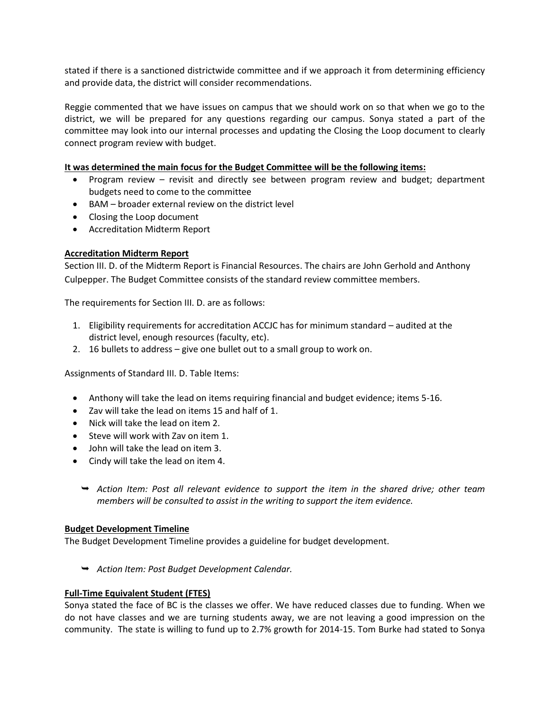stated if there is a sanctioned districtwide committee and if we approach it from determining efficiency and provide data, the district will consider recommendations.

Reggie commented that we have issues on campus that we should work on so that when we go to the district, we will be prepared for any questions regarding our campus. Sonya stated a part of the committee may look into our internal processes and updating the Closing the Loop document to clearly connect program review with budget.

## **It was determined the main focus for the Budget Committee will be the following items:**

- Program review revisit and directly see between program review and budget; department budgets need to come to the committee
- BAM broader external review on the district level
- Closing the Loop document
- Accreditation Midterm Report

## **Accreditation Midterm Report**

Section III. D. of the Midterm Report is Financial Resources. The chairs are John Gerhold and Anthony Culpepper. The Budget Committee consists of the standard review committee members.

The requirements for Section III. D. are as follows:

- 1. Eligibility requirements for accreditation ACCJC has for minimum standard audited at the district level, enough resources (faculty, etc).
- 2. 16 bullets to address give one bullet out to a small group to work on.

Assignments of Standard III. D. Table Items:

- Anthony will take the lead on items requiring financial and budget evidence; items 5-16.
- Zav will take the lead on items 15 and half of 1.
- Nick will take the lead on item 2.
- Steve will work with Zay on item 1.
- John will take the lead on item 3.
- Cindy will take the lead on item 4.
	- *Action Item: Post all relevant evidence to support the item in the shared drive; other team members will be consulted to assist in the writing to support the item evidence.*

#### **Budget Development Timeline**

The Budget Development Timeline provides a guideline for budget development.

*Action Item: Post Budget Development Calendar.*

#### **Full-Time Equivalent Student (FTES)**

Sonya stated the face of BC is the classes we offer. We have reduced classes due to funding. When we do not have classes and we are turning students away, we are not leaving a good impression on the community. The state is willing to fund up to 2.7% growth for 2014-15. Tom Burke had stated to Sonya